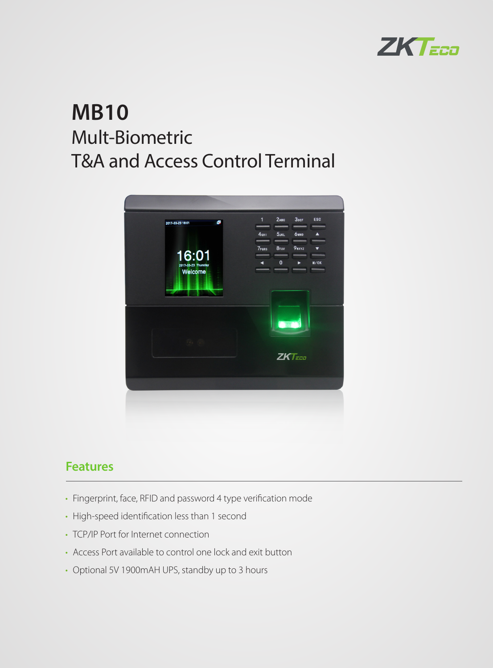

# **MB10** Mult-Biometric T&A and Access Control Terminal



#### **Features**

- Fingerprint, face, RFID and password 4 type verification mode
- High-speed identification less than 1 second
- TCP/IP Port for Internet connection
- Access Port available to control one lock and exit button
- Optional 5V 1900mAH UPS, standby up to 3 hours